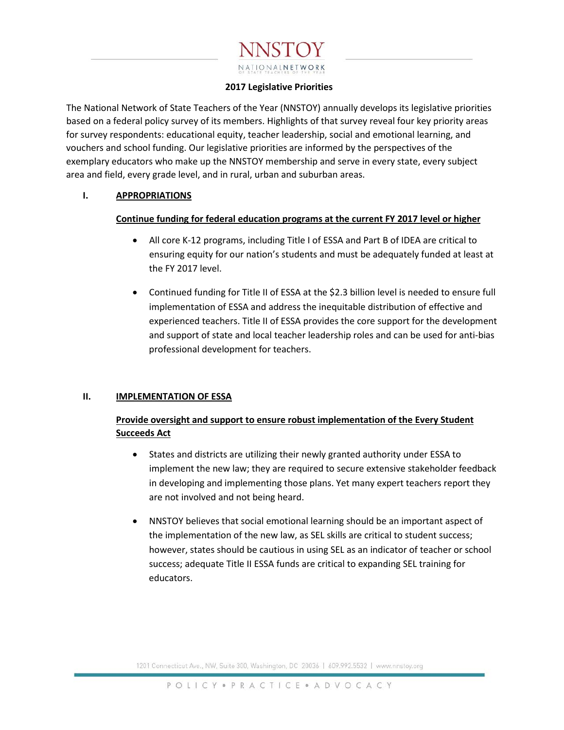# NATIONALNETWORK

### **2017 Legislative Priorities**

The National Network of State Teachers of the Year (NNSTOY) annually develops its legislative priorities based on a federal policy survey of its members. Highlights of that survey reveal four key priority areas for survey respondents: educational equity, teacher leadership, social and emotional learning, and vouchers and school funding. Our legislative priorities are informed by the perspectives of the exemplary educators who make up the NNSTOY membership and serve in every state, every subject area and field, every grade level, and in rural, urban and suburban areas.

## **I. APPROPRIATIONS**

## **Continue funding for federal education programs at the current FY 2017 level or higher**

- All core K-12 programs, including Title I of ESSA and Part B of IDEA are critical to ensuring equity for our nation's students and must be adequately funded at least at the FY 2017 level.
- Continued funding for Title II of ESSA at the \$2.3 billion level is needed to ensure full implementation of ESSA and address the inequitable distribution of effective and experienced teachers. Title II of ESSA provides the core support for the development and support of state and local teacher leadership roles and can be used for anti-bias professional development for teachers.

## **II. IMPLEMENTATION OF ESSA**

# **Provide oversight and support to ensure robust implementation of the Every Student Succeeds Act**

- States and districts are utilizing their newly granted authority under ESSA to implement the new law; they are required to secure extensive stakeholder feedback in developing and implementing those plans. Yet many expert teachers report they are not involved and not being heard.
- NNSTOY believes that social emotional learning should be an important aspect of the implementation of the new law, as SEL skills are critical to student success; however, states should be cautious in using SEL as an indicator of teacher or school success; adequate Title II ESSA funds are critical to expanding SEL training for educators.

1201 Connecticut Ave., NW, Suite 300, Washington, DC 20036 | 609.992.5532 | www.nnstoy.org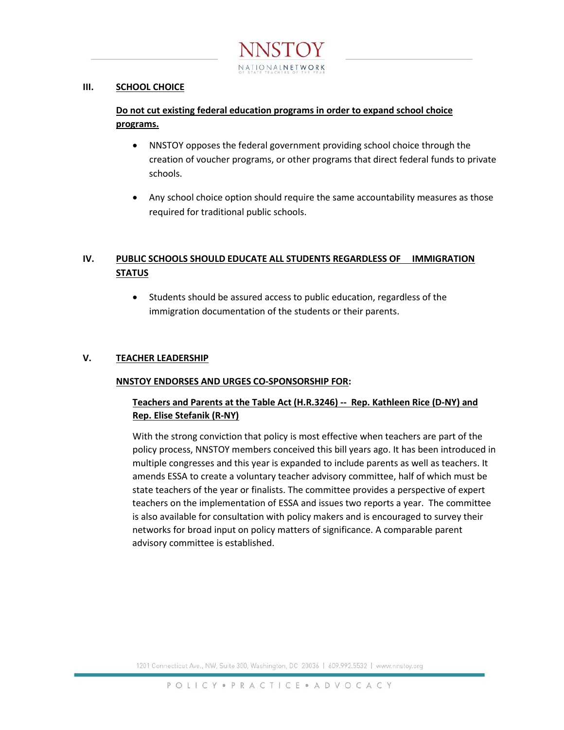

### **III. SCHOOL CHOICE**

# **Do not cut existing federal education programs in order to expand school choice programs.**

- NNSTOY opposes the federal government providing school choice through the creation of voucher programs, or other programs that direct federal funds to private schools.
- Any school choice option should require the same accountability measures as those required for traditional public schools.

# **IV. PUBLIC SCHOOLS SHOULD EDUCATE ALL STUDENTS REGARDLESS OF IMMIGRATION STATUS**

• Students should be assured access to public education, regardless of the immigration documentation of the students or their parents.

## **V. TEACHER LEADERSHIP**

### **NNSTOY ENDORSES AND URGES CO-SPONSORSHIP FOR:**

## **Teachers and Parents at the Table Act (H.R.3246) -- Rep. Kathleen Rice (D-NY) and Rep. Elise Stefanik (R-NY)**

With the strong conviction that policy is most effective when teachers are part of the policy process, NNSTOY members conceived this bill years ago. It has been introduced in multiple congresses and this year is expanded to include parents as well as teachers. It amends ESSA to create a voluntary teacher advisory committee, half of which must be state teachers of the year or finalists. The committee provides a perspective of expert teachers on the implementation of ESSA and issues two reports a year. The committee is also available for consultation with policy makers and is encouraged to survey their networks for broad input on policy matters of significance. A comparable parent advisory committee is established.